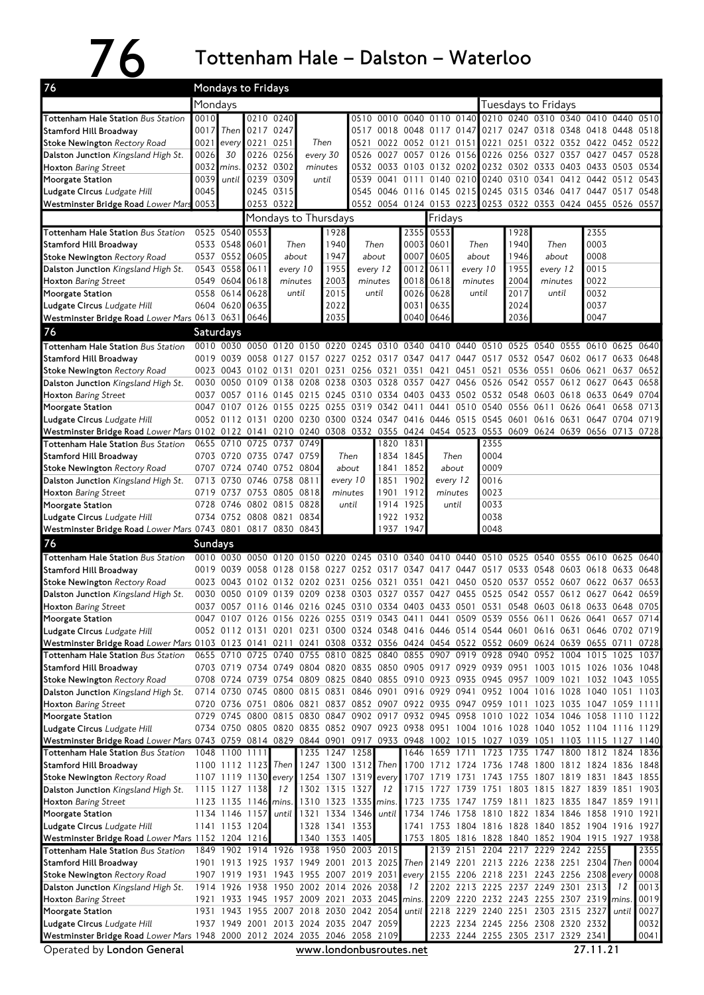## 76 Tottenham Hale – Dalston – Waterloo

| 76                                                                                                                           | Mondays to Fridays                                                                                                                                      |                             |           |                                                                                                                                                                                   |      |                                                                            |               |                                                                          |                        |                                                   |               |                |                     |                                              |           |                |       |      |  |  |
|------------------------------------------------------------------------------------------------------------------------------|---------------------------------------------------------------------------------------------------------------------------------------------------------|-----------------------------|-----------|-----------------------------------------------------------------------------------------------------------------------------------------------------------------------------------|------|----------------------------------------------------------------------------|---------------|--------------------------------------------------------------------------|------------------------|---------------------------------------------------|---------------|----------------|---------------------|----------------------------------------------|-----------|----------------|-------|------|--|--|
|                                                                                                                              | Mondays                                                                                                                                                 |                             |           |                                                                                                                                                                                   |      |                                                                            |               |                                                                          |                        |                                                   |               |                | Tuesdays to Fridays |                                              |           |                |       |      |  |  |
| <b>Tottenham Hale Station Bus Station</b>                                                                                    | 0010                                                                                                                                                    |                             |           | 0210 0240                                                                                                                                                                         |      |                                                                            | 0510          | 0010                                                                     |                        | 0040 0110 0140                                    |               |                |                     | 0210 0240 0310 0340 0410                     |           |                | 0440  | 0510 |  |  |
| <b>Stamford Hill Broadway</b>                                                                                                | 0017                                                                                                                                                    | Then                        | 0217 0247 |                                                                                                                                                                                   |      |                                                                            |               | 0517 0018 0048 0117 0147                                                 |                        |                                                   |               |                |                     | 0217 0247 0318 0348 0418                     |           |                | 0448  | 0518 |  |  |
| <b>Stoke Newington Rectory Road</b>                                                                                          |                                                                                                                                                         | $0021$ every                | 0221 0251 |                                                                                                                                                                                   |      | Then                                                                       | 0521          |                                                                          |                        | 0022 0052 0121 0151                               |               |                |                     | 0221 0251 0322 0352 0422 0452 0522           |           |                |       |      |  |  |
| Dalston Junction Kingsland High St.<br><b>Hoxton</b> Baring Street                                                           | 0026<br>0032                                                                                                                                            | 30<br>mins                  |           | 0226 0256<br>0232 0302                                                                                                                                                            |      | every 30<br>minutes                                                        | 0526          | 0027 0057 0126 0156 0226 0256 0327 0357 0427<br>0532 0033 0103 0132 0202 |                        |                                                   |               |                |                     | 0232 0302 0333 0403 0433 0503 0534           |           |                | 0457  | 0528 |  |  |
| Moorgate Station                                                                                                             | 0039                                                                                                                                                    | until                       | 0239 0309 |                                                                                                                                                                                   |      | until                                                                      |               | 0539 0041 0111 0140 0210                                                 |                        |                                                   |               | 0240           | 0310 0341           |                                              | 0412 0442 |                | 0512  | 0543 |  |  |
| Ludgate Circus Ludgate Hill                                                                                                  | 0045                                                                                                                                                    |                             |           | 0245 0315                                                                                                                                                                         |      |                                                                            |               | 0545 0046 0116 0145 0215 0245 0315 0346 0417 0447 0517                   |                        |                                                   |               |                |                     |                                              |           |                |       | 0548 |  |  |
| Westminster Bridge Road Lower Mars                                                                                           | 0053                                                                                                                                                    |                             | 0253 0322 |                                                                                                                                                                                   |      |                                                                            | 0552          |                                                                          |                        | 0054 0124 0153 0223                               |               |                |                     | 0253 0322 0353 0424 0455                     |           |                | 0526  | 0557 |  |  |
|                                                                                                                              |                                                                                                                                                         |                             |           | Mondays to Thursdays                                                                                                                                                              |      |                                                                            |               |                                                                          |                        | Fridays                                           |               |                |                     |                                              |           |                |       |      |  |  |
| <b>Tottenham Hale Station Bus Station</b>                                                                                    |                                                                                                                                                         | 0525 0540                   | 0553      |                                                                                                                                                                                   |      | 1928                                                                       |               |                                                                          | 2355                   | 0553                                              |               |                | 1928                |                                              |           | 2355           |       |      |  |  |
| <b>Stamford Hill Broadway</b>                                                                                                |                                                                                                                                                         | 0533 0548                   | 0601      | Then                                                                                                                                                                              |      | 1940                                                                       |               | Then                                                                     | 0003                   | 0601                                              |               | Then           | 1940                |                                              | Then      | 0003           |       |      |  |  |
| <b>Stoke Newington Rectory Road</b>                                                                                          |                                                                                                                                                         | 0537 0552                   | 0605      | about                                                                                                                                                                             |      | 1947                                                                       |               | about                                                                    |                        | 0007 0605                                         |               | about          | 1946                | about                                        |           | 0008           |       |      |  |  |
| Dalston Junction Kingsland High St.                                                                                          |                                                                                                                                                         | 0543 0558                   | 0611      | every 10                                                                                                                                                                          |      | 1955                                                                       |               | every 12                                                                 | 0012                   | 0611                                              |               | every 10       | 1955                |                                              | every 12  | 0015           |       |      |  |  |
| <b>Hoxton</b> Baring Street                                                                                                  |                                                                                                                                                         | 0549 0604 0618              |           | minutes                                                                                                                                                                           |      | 2003                                                                       |               | minutes                                                                  | 0018                   | 0618                                              |               | minutes        | 2004                | minutes                                      |           | 0022           |       |      |  |  |
| Moorgate Station                                                                                                             |                                                                                                                                                         | 0558 0614<br>0604 0620 0635 | 0628      | until                                                                                                                                                                             |      | 2015                                                                       | until<br>2022 |                                                                          | 0026                   | 0628                                              | until         |                | 2017<br>2024        | until                                        |           | 0032<br>0037   |       |      |  |  |
| Ludgate Circus Ludgate Hill<br>Westminster Bridge Road Lower Mars 0613 0631 0646                                             |                                                                                                                                                         |                             |           |                                                                                                                                                                                   |      | 2035                                                                       |               | 0040 0646                                                                |                        | 0031 0635                                         |               | 2036           |                     |                                              | 0047      |                |       |      |  |  |
| 76                                                                                                                           |                                                                                                                                                         |                             |           |                                                                                                                                                                                   |      |                                                                            |               |                                                                          |                        |                                                   |               |                |                     |                                              |           |                |       |      |  |  |
|                                                                                                                              |                                                                                                                                                         | Saturdays                   |           |                                                                                                                                                                                   |      |                                                                            |               |                                                                          |                        |                                                   |               |                |                     |                                              |           |                |       |      |  |  |
| Tottenham Hale Station Bus Station<br><b>Stamford Hill Broadway</b>                                                          |                                                                                                                                                         |                             |           | 0010 0030 0050 0120 0150 0220<br>0019 0039 0058 0127 0157 0227 0252 0317 0347 0417 0447 0517 0532 0547 0602 0617 0633 0648                                                        |      |                                                                            |               | 0245 0310 0340 0410 0440 0510                                            |                        |                                                   |               |                | 0525 0540           |                                              |           | 0555 0610      | 0625  | 0640 |  |  |
| <b>Stoke Newington Rectory Road</b>                                                                                          |                                                                                                                                                         |                             |           | 0023 0043 0102 0131 0201 0231 0256 0321 0351                                                                                                                                      |      |                                                                            |               |                                                                          |                        | 0421 0451 0521                                    |               |                | 0536 0551           |                                              |           | 0606 0621 0637 |       | 0652 |  |  |
| Dalston Junction Kingsland High St.                                                                                          |                                                                                                                                                         | 0030 0050                   | 0109      | 0138                                                                                                                                                                              |      | 0208 0238 0303 0328 0357                                                   |               |                                                                          |                        |                                                   |               | 0427 0456 0526 | 0542 0557           |                                              |           | 0612 0627      | 0643  | 0658 |  |  |
| <b>Hoxton</b> Baring Street                                                                                                  |                                                                                                                                                         |                             |           | 0037 0057 0116 0145 0215                                                                                                                                                          |      | 0245 0310 0334 0403 0433 0502 0532 0548 0603 0618 0633 0649                |               |                                                                          |                        |                                                   |               |                |                     |                                              |           |                |       | 0704 |  |  |
| Moorgate Station                                                                                                             |                                                                                                                                                         | 0047 0107                   | 0126 0155 |                                                                                                                                                                                   | 0225 |                                                                            |               | 0255 0319 0342 0411                                                      |                        | 0441                                              | 0510          | 0540           | 0556 0611           |                                              | 0626 0641 |                | 0658  | 0713 |  |  |
| Ludgate Circus Ludgate Hill                                                                                                  |                                                                                                                                                         |                             |           | 0052 0112 0131 0200 0230 0300 0324 0347 0416 0446 0515 0545 0601 0616 0631 0647 0704                                                                                              |      |                                                                            |               |                                                                          |                        |                                                   |               |                |                     |                                              |           |                |       | 0719 |  |  |
| Westminster Bridge Road Lower Mars 0102 0122 0141                                                                            |                                                                                                                                                         |                             |           |                                                                                                                                                                                   |      | 0210 0240 0308 0332 0355 0424 0454 0523 0553 0609 0624 0639 0656 0713 0728 |               |                                                                          |                        |                                                   |               |                |                     |                                              |           |                |       |      |  |  |
| <b>Tottenham Hale Station Bus Station</b>                                                                                    | 0655                                                                                                                                                    | 0710                        | 0725 0737 |                                                                                                                                                                                   | 0749 |                                                                            |               |                                                                          | 1820 1831              |                                                   |               | 2355           |                     |                                              |           |                |       |      |  |  |
| <b>Stamford Hill Broadway</b>                                                                                                |                                                                                                                                                         | 0703 0720                   |           | 0735 0747 0759<br>0707 0724 0740 0752 0804                                                                                                                                        |      |                                                                            | Then<br>about |                                                                          | 1834 1845<br>1841 1852 |                                                   | Then<br>about | 0004<br>0009   |                     |                                              |           |                |       |      |  |  |
| <b>Stoke Newington Rectory Road</b><br>Dalston Junction Kingsland High St.                                                   |                                                                                                                                                         | 0713 0730                   |           | 0746 0758 0811                                                                                                                                                                    |      |                                                                            | every 10      | 1851                                                                     | 1902                   |                                                   | every 12      | 0016           |                     |                                              |           |                |       |      |  |  |
| <b>Hoxton Baring Street</b>                                                                                                  |                                                                                                                                                         |                             |           | 0719 0737 0753 0805 0818                                                                                                                                                          |      |                                                                            | minutes       |                                                                          | 1901 1912              | minutes                                           |               | 0023           |                     |                                              |           |                |       |      |  |  |
| Moorgate Station                                                                                                             |                                                                                                                                                         | 0728 0746                   |           | 0802 0815 0828                                                                                                                                                                    |      | until                                                                      |               |                                                                          | 1914 1925              | until                                             |               | 0033           |                     |                                              |           |                |       |      |  |  |
| Ludgate Circus Ludgate Hill                                                                                                  |                                                                                                                                                         |                             |           | 0734 0752 0808 0821                                                                                                                                                               | 0834 |                                                                            |               |                                                                          | 1922 1932              |                                                   |               | 0038           |                     |                                              |           |                |       |      |  |  |
| Westminster Bridge Road Lower Mars 0743 0801 0817 0830 0843                                                                  |                                                                                                                                                         |                             |           |                                                                                                                                                                                   |      |                                                                            |               |                                                                          | 1937 1947              |                                                   |               | 0048           |                     |                                              |           |                |       |      |  |  |
| 76                                                                                                                           | <b>Sundays</b>                                                                                                                                          |                             |           |                                                                                                                                                                                   |      |                                                                            |               |                                                                          |                        |                                                   |               |                |                     |                                              |           |                |       |      |  |  |
| Tottenham Hale Station Bus Station                                                                                           |                                                                                                                                                         |                             |           | 0010 0030 0050 0120 0150 0220 0245 0310 0340 0410 0440 0510                                                                                                                       |      |                                                                            |               |                                                                          |                        |                                                   |               |                |                     | 0525 0540                                    |           | 0555 0610 0625 |       | 0640 |  |  |
| <b>Stamford Hill Broadway</b>                                                                                                |                                                                                                                                                         |                             |           | 0019 0039 0058 0128 0158 0227 0252 0317 0347 0417 0447 0517                                                                                                                       |      |                                                                            |               |                                                                          |                        |                                                   |               |                | 0533 0548           |                                              | 0603 0618 |                | 0633  | 0648 |  |  |
| <b>Stoke Newington Rectory Road</b>                                                                                          |                                                                                                                                                         |                             |           | 0023 0043 0102 0132 0202 0231 0256 0321 0351                                                                                                                                      |      |                                                                            |               |                                                                          |                        |                                                   |               | 0421 0450 0520 |                     | 0537 0552 0607 0622 0637                     |           |                |       | 0653 |  |  |
| Dalston Junction Kingsland High St.                                                                                          |                                                                                                                                                         |                             |           | 0030 0050 0109 0139 0209 0238 0303 0327 0357 0427 0455 0525 0542 0557 0612 0627 0642<br>0037 0057 0116 0146 0216 0245 0310 0334 0403 0433 0501 0531 0548 0603 0618 0633 0648 0705 |      |                                                                            |               |                                                                          |                        |                                                   |               |                |                     |                                              |           |                |       | 0659 |  |  |
| <b>Hoxton Baring Street</b><br>Moorgate Station                                                                              |                                                                                                                                                         |                             |           | 0047 0107 0126 0156 0226 0255 0319 0343 0411 0441 0509 0539 0556 0611 0626 0641 0657 0714                                                                                         |      |                                                                            |               |                                                                          |                        |                                                   |               |                |                     |                                              |           |                |       |      |  |  |
| Ludgate Circus Ludgate Hill                                                                                                  |                                                                                                                                                         |                             |           | 0052 0112 0131 0201 0231 0300 0324 0348 0416 0446 0514 0544 0601 0616 0631 0646 0702 0719                                                                                         |      |                                                                            |               |                                                                          |                        |                                                   |               |                |                     |                                              |           |                |       |      |  |  |
| Westminster Bridge Road Lower Mars 0103 0123 0141 0211 0241 0308 0332 0356 0424 0454 0522 0552 0609 0624 0639 0655 0711      |                                                                                                                                                         |                             |           |                                                                                                                                                                                   |      |                                                                            |               |                                                                          |                        |                                                   |               |                |                     |                                              |           |                |       | 0728 |  |  |
| Tottenham Hale Station Bus Station                                                                                           |                                                                                                                                                         |                             |           | 0655 0710 0725 0740 0755 0810 0825 0840 0855 0907 0919 0928 0940 0952 1004 1015 1025 1037                                                                                         |      |                                                                            |               |                                                                          |                        |                                                   |               |                |                     |                                              |           |                |       |      |  |  |
| <b>Stamford Hill Broadway</b>                                                                                                |                                                                                                                                                         |                             |           | 0703 0719 0734 0749 0804 0820 0835 0850 0905 0917 0929 0939 0951 1003 1015 1026 1036 1048                                                                                         |      |                                                                            |               |                                                                          |                        |                                                   |               |                |                     |                                              |           |                |       |      |  |  |
| <b>Stoke Newington Rectory Road</b>                                                                                          |                                                                                                                                                         |                             |           | 0708 0724 0739 0754 0809 0825 0840 0855 0910 0923 0935 0945 0957 1009 1021 1032 1043 1055                                                                                         |      |                                                                            |               |                                                                          |                        |                                                   |               |                |                     |                                              |           |                |       |      |  |  |
| Dalston Junction Kingsland High St.                                                                                          |                                                                                                                                                         |                             |           | 0714 0730 0745 0800 0815 0831 0846 0901 0916 0929 0941 0952 1004 1016 1028 1040 1051 1103                                                                                         |      |                                                                            |               |                                                                          |                        |                                                   |               |                |                     |                                              |           |                |       |      |  |  |
| <b>Hoxton Baring Street</b>                                                                                                  |                                                                                                                                                         |                             |           | 0720 0736 0751 0806 0821 0837 0852 0907 0922 0935 0947 0959 1011 1023 1035 1047 1059 1111                                                                                         |      |                                                                            |               |                                                                          |                        |                                                   |               |                |                     |                                              |           |                |       |      |  |  |
| Moorgate Station<br>Ludgate Circus Ludgate Hill                                                                              |                                                                                                                                                         | 0729 0745                   |           | 0800 0815 0830 0847 0902 0917 0932 0945 0958 1010 1022 1034 1046 1058 1110 1122<br>0734 0750 0805 0820 0835 0852 0907 0923 0938 0951 1004 1016 1028 1040 1052 1104 1116 1129      |      |                                                                            |               |                                                                          |                        |                                                   |               |                |                     |                                              |           |                |       |      |  |  |
| Westminster Bridge Road Lower Mars 0743 0759 0814 0829 0844 0901 0917 0933 0948 1002 1015 1027 1039 1051 1103 1115 1127 1140 |                                                                                                                                                         |                             |           |                                                                                                                                                                                   |      |                                                                            |               |                                                                          |                        |                                                   |               |                |                     |                                              |           |                |       |      |  |  |
| Tottenham Hale Station Bus Station                                                                                           |                                                                                                                                                         | 1048 1100 1111              |           |                                                                                                                                                                                   |      | 1235 1247 1258                                                             |               |                                                                          |                        | 1646 1659 1711                                    |               | 1723           |                     | 1735 1747 1800 1812 1824 1836                |           |                |       |      |  |  |
| Stamford Hill Broadway                                                                                                       |                                                                                                                                                         |                             |           | 1100 1112 1123 Then                                                                                                                                                               |      | 1247 1300 1312 Then                                                        |               |                                                                          |                        | 1700 1712 1724 1736 1748 1800 1812 1824 1836 1848 |               |                |                     |                                              |           |                |       |      |  |  |
| <b>Stoke Newington Rectory Road</b>                                                                                          |                                                                                                                                                         |                             |           | 1107 1119 1130 every                                                                                                                                                              |      | 1254 1307 1319                                                             |               | every                                                                    |                        | 1707 1719 1731 1743 1755 1807 1819 1831 1843 1855 |               |                |                     |                                              |           |                |       |      |  |  |
| Dalston Junction Kingsland High St.                                                                                          |                                                                                                                                                         | 1115 1127 1138              |           | 12                                                                                                                                                                                |      | 1302 1315 1327                                                             |               | 12                                                                       | 1715                   |                                                   |               |                |                     | 1727 1739 1751 1803 1815 1827 1839 1851 1903 |           |                |       |      |  |  |
| <b>Hoxton</b> Baring Street                                                                                                  |                                                                                                                                                         | 1123 1135 1146 mins.        |           |                                                                                                                                                                                   |      | 1310 1323 1335 mins.                                                       |               |                                                                          | 1723                   |                                                   |               |                |                     | 1735 1747 1759 1811 1823 1835 1847 1859 1911 |           |                |       |      |  |  |
| Moorgate Station                                                                                                             |                                                                                                                                                         | 1134 1146 1157              |           | until                                                                                                                                                                             |      | 1321 1334 1346                                                             |               | until                                                                    | 1734                   |                                                   |               |                |                     | 1746 1758 1810 1822 1834 1846 1858           |           |                | 1910  | 1921 |  |  |
| Ludgate Circus Ludgate Hill                                                                                                  |                                                                                                                                                         | 1141 1153 1204              |           |                                                                                                                                                                                   |      | 1328 1341 1353                                                             |               |                                                                          |                        | 1741 1753 1804 1816 1828 1840 1852 1904 1916 1927 |               |                |                     |                                              |           |                |       |      |  |  |
| Westminster Bridge Road Lower Mars 1152 1204 1216<br>Tottenham Hale Station Bus Station                                      |                                                                                                                                                         |                             |           | 1849 1902 1914 1926 1938 1950 2003 2015                                                                                                                                           |      | 1340 1353 1405                                                             |               |                                                                          |                        | 1753 1805 1816 1828 1840 1852 1904 1915 1927 1938 |               |                |                     | 2139 2151 2204 2217 2229 2242 2255           |           |                |       | 2355 |  |  |
| Stamford Hill Broadway                                                                                                       |                                                                                                                                                         |                             |           | 1901 1913 1925 1937 1949 2001 2013 2025                                                                                                                                           |      |                                                                            |               |                                                                          | <b>Then</b>            |                                                   |               |                |                     | 2149 2201 2213 2226 2238 2251 2304           |           |                | Then  | 0004 |  |  |
| <b>Stoke Newington Rectory Road</b>                                                                                          |                                                                                                                                                         |                             |           | 1907 1919 1931 1943 1955 2007 2019 2031                                                                                                                                           |      |                                                                            |               |                                                                          | every                  |                                                   |               |                |                     | 2155 2206 2218 2231 2243 2256 2308           |           |                | every | 0008 |  |  |
| Dalston Junction Kingsland High St.                                                                                          |                                                                                                                                                         |                             |           | 1914 1926 1938 1950 2002 2014 2026 2038                                                                                                                                           |      |                                                                            |               |                                                                          | 12                     |                                                   |               |                |                     | 2202 2213 2225 2237 2249 2301 2313           |           |                | 12    | 0013 |  |  |
| <b>Hoxton</b> Baring Street                                                                                                  |                                                                                                                                                         |                             |           | 1921 1933 1945 1957 2009 2021 2033 2045                                                                                                                                           |      |                                                                            |               |                                                                          | mins.                  |                                                   |               |                |                     | 2209 2220 2232 2243 2255 2307 2319           |           |                | mins. | 0019 |  |  |
| Moorgate Station                                                                                                             |                                                                                                                                                         |                             |           | 1931 1943 1955 2007 2018 2030 2042 2054                                                                                                                                           |      |                                                                            |               |                                                                          | until                  |                                                   |               |                |                     | 2218 2229 2240 2251 2303 2315 2327           |           |                | until | 0027 |  |  |
| Ludgate Circus Ludgate Hill                                                                                                  |                                                                                                                                                         |                             |           | 1937 1949 2001 2013 2024 2035 2047 2059                                                                                                                                           |      |                                                                            |               |                                                                          |                        |                                                   |               |                |                     | 2223 2234 2245 2256 2308 2320 2332           |           |                |       | 0032 |  |  |
|                                                                                                                              |                                                                                                                                                         |                             |           |                                                                                                                                                                                   |      |                                                                            |               |                                                                          |                        |                                                   |               |                |                     |                                              |           |                |       | 0041 |  |  |
| Operated by London General                                                                                                   | Westminster Bridge Road Lower Mars 1948 2000 2012 2024 2035 2046 2058 2109<br>2233 2244 2255 2305 2317 2329 2341<br>27.11.21<br>www.londonbusroutes.net |                             |           |                                                                                                                                                                                   |      |                                                                            |               |                                                                          |                        |                                                   |               |                |                     |                                              |           |                |       |      |  |  |